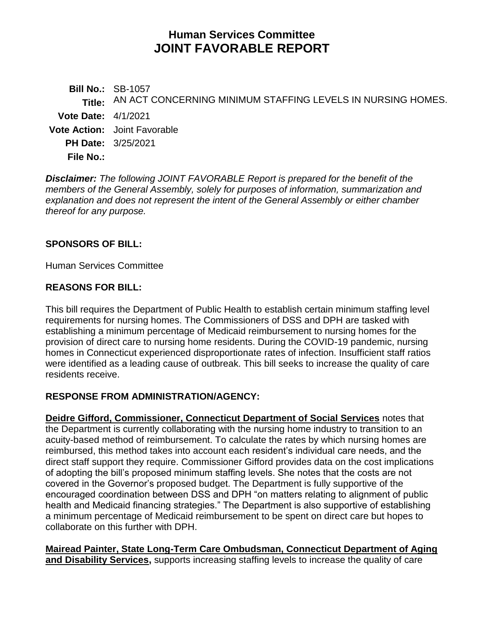# **Human Services Committee JOINT FAVORABLE REPORT**

**Bill No.:** SB-1057 **Title:** AN ACT CONCERNING MINIMUM STAFFING LEVELS IN NURSING HOMES. **Vote Date:** 4/1/2021 **Vote Action:** Joint Favorable **PH Date:** 3/25/2021 **File No.:**

*Disclaimer: The following JOINT FAVORABLE Report is prepared for the benefit of the members of the General Assembly, solely for purposes of information, summarization and explanation and does not represent the intent of the General Assembly or either chamber thereof for any purpose.*

#### **SPONSORS OF BILL:**

Human Services Committee

#### **REASONS FOR BILL:**

This bill requires the Department of Public Health to establish certain minimum staffing level requirements for nursing homes. The Commissioners of DSS and DPH are tasked with establishing a minimum percentage of Medicaid reimbursement to nursing homes for the provision of direct care to nursing home residents. During the COVID-19 pandemic, nursing homes in Connecticut experienced disproportionate rates of infection. Insufficient staff ratios were identified as a leading cause of outbreak. This bill seeks to increase the quality of care residents receive.

#### **RESPONSE FROM ADMINISTRATION/AGENCY:**

**Deidre Gifford, Commissioner, Connecticut Department of Social Services** notes that the Department is currently collaborating with the nursing home industry to transition to an acuity-based method of reimbursement. To calculate the rates by which nursing homes are reimbursed, this method takes into account each resident's individual care needs, and the direct staff support they require. Commissioner Gifford provides data on the cost implications of adopting the bill's proposed minimum staffing levels. She notes that the costs are not covered in the Governor's proposed budget. The Department is fully supportive of the encouraged coordination between DSS and DPH "on matters relating to alignment of public health and Medicaid financing strategies." The Department is also supportive of establishing a minimum percentage of Medicaid reimbursement to be spent on direct care but hopes to collaborate on this further with DPH.

**Mairead Painter, State Long-Term Care Ombudsman, Connecticut Department of Aging and Disability Services,** supports increasing staffing levels to increase the quality of care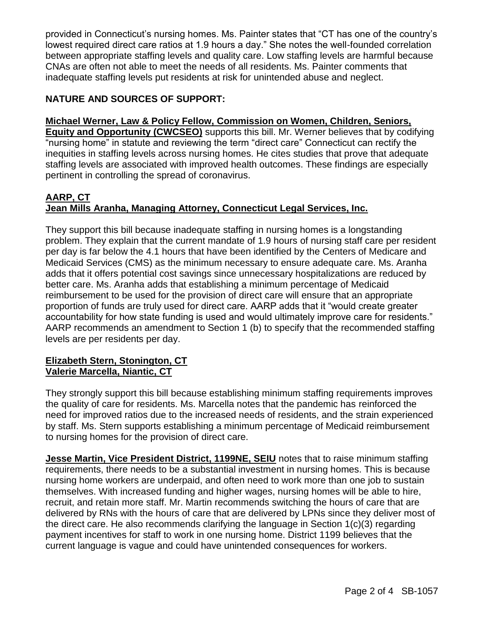provided in Connecticut's nursing homes. Ms. Painter states that "CT has one of the country's lowest required direct care ratios at 1.9 hours a day." She notes the well-founded correlation between appropriate staffing levels and quality care. Low staffing levels are harmful because CNAs are often not able to meet the needs of all residents. Ms. Painter comments that inadequate staffing levels put residents at risk for unintended abuse and neglect.

# **NATURE AND SOURCES OF SUPPORT:**

**Michael Werner, Law & Policy Fellow, Commission on Women, Children, Seniors, Equity and Opportunity (CWCSEO)** supports this bill. Mr. Werner believes that by codifying "nursing home" in statute and reviewing the term "direct care" Connecticut can rectify the inequities in staffing levels across nursing homes. He cites studies that prove that adequate staffing levels are associated with improved health outcomes. These findings are especially pertinent in controlling the spread of coronavirus.

# **AARP, CT Jean Mills Aranha, Managing Attorney, Connecticut Legal Services, Inc.**

They support this bill because inadequate staffing in nursing homes is a longstanding problem. They explain that the current mandate of 1.9 hours of nursing staff care per resident per day is far below the 4.1 hours that have been identified by the Centers of Medicare and Medicaid Services (CMS) as the minimum necessary to ensure adequate care. Ms. Aranha adds that it offers potential cost savings since unnecessary hospitalizations are reduced by better care. Ms. Aranha adds that establishing a minimum percentage of Medicaid reimbursement to be used for the provision of direct care will ensure that an appropriate proportion of funds are truly used for direct care. AARP adds that it "would create greater accountability for how state funding is used and would ultimately improve care for residents." AARP recommends an amendment to Section 1 (b) to specify that the recommended staffing levels are per residents per day.

#### **Elizabeth Stern, Stonington, CT Valerie Marcella, Niantic, CT**

They strongly support this bill because establishing minimum staffing requirements improves the quality of care for residents. Ms. Marcella notes that the pandemic has reinforced the need for improved ratios due to the increased needs of residents, and the strain experienced by staff. Ms. Stern supports establishing a minimum percentage of Medicaid reimbursement to nursing homes for the provision of direct care.

**Jesse Martin, Vice President District, 1199NE, SEIU** notes that to raise minimum staffing requirements, there needs to be a substantial investment in nursing homes. This is because nursing home workers are underpaid, and often need to work more than one job to sustain themselves. With increased funding and higher wages, nursing homes will be able to hire, recruit, and retain more staff. Mr. Martin recommends switching the hours of care that are delivered by RNs with the hours of care that are delivered by LPNs since they deliver most of the direct care. He also recommends clarifying the language in Section 1(c)(3) regarding payment incentives for staff to work in one nursing home. District 1199 believes that the current language is vague and could have unintended consequences for workers.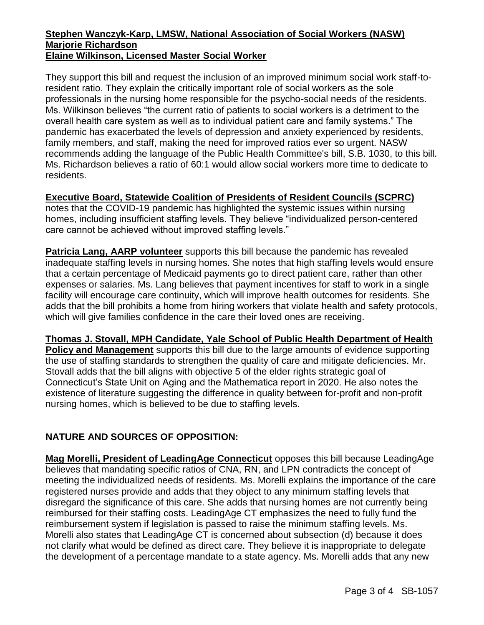#### **Stephen Wanczyk-Karp, LMSW, National Association of Social Workers (NASW) Marjorie Richardson Elaine Wilkinson, Licensed Master Social Worker**

They support this bill and request the inclusion of an improved minimum social work staff-toresident ratio. They explain the critically important role of social workers as the sole professionals in the nursing home responsible for the psycho-social needs of the residents. Ms. Wilkinson believes "the current ratio of patients to social workers is a detriment to the overall health care system as well as to individual patient care and family systems." The pandemic has exacerbated the levels of depression and anxiety experienced by residents, family members, and staff, making the need for improved ratios ever so urgent. NASW recommends adding the language of the Public Health Committee's bill, S.B. 1030, to this bill. Ms. Richardson believes a ratio of 60:1 would allow social workers more time to dedicate to residents.

#### **Executive Board, Statewide Coalition of Presidents of Resident Councils (SCPRC)**

notes that the COVID-19 pandemic has highlighted the systemic issues within nursing homes, including insufficient staffing levels. They believe "individualized person-centered care cannot be achieved without improved staffing levels."

**Patricia Lang, AARP volunteer** supports this bill because the pandemic has revealed inadequate staffing levels in nursing homes. She notes that high staffing levels would ensure that a certain percentage of Medicaid payments go to direct patient care, rather than other expenses or salaries. Ms. Lang believes that payment incentives for staff to work in a single facility will encourage care continuity, which will improve health outcomes for residents. She adds that the bill prohibits a home from hiring workers that violate health and safety protocols, which will give families confidence in the care their loved ones are receiving.

**Thomas J. Stovall, MPH Candidate, Yale School of Public Health Department of Health Policy and Management** supports this bill due to the large amounts of evidence supporting the use of staffing standards to strengthen the quality of care and mitigate deficiencies. Mr. Stovall adds that the bill aligns with objective 5 of the elder rights strategic goal of Connecticut's State Unit on Aging and the Mathematica report in 2020. He also notes the existence of literature suggesting the difference in quality between for-profit and non-profit nursing homes, which is believed to be due to staffing levels.

# **NATURE AND SOURCES OF OPPOSITION:**

**Mag Morelli, President of LeadingAge Connecticut** opposes this bill because LeadingAge believes that mandating specific ratios of CNA, RN, and LPN contradicts the concept of meeting the individualized needs of residents. Ms. Morelli explains the importance of the care registered nurses provide and adds that they object to any minimum staffing levels that disregard the significance of this care. She adds that nursing homes are not currently being reimbursed for their staffing costs. LeadingAge CT emphasizes the need to fully fund the reimbursement system if legislation is passed to raise the minimum staffing levels. Ms. Morelli also states that LeadingAge CT is concerned about subsection (d) because it does not clarify what would be defined as direct care. They believe it is inappropriate to delegate the development of a percentage mandate to a state agency. Ms. Morelli adds that any new